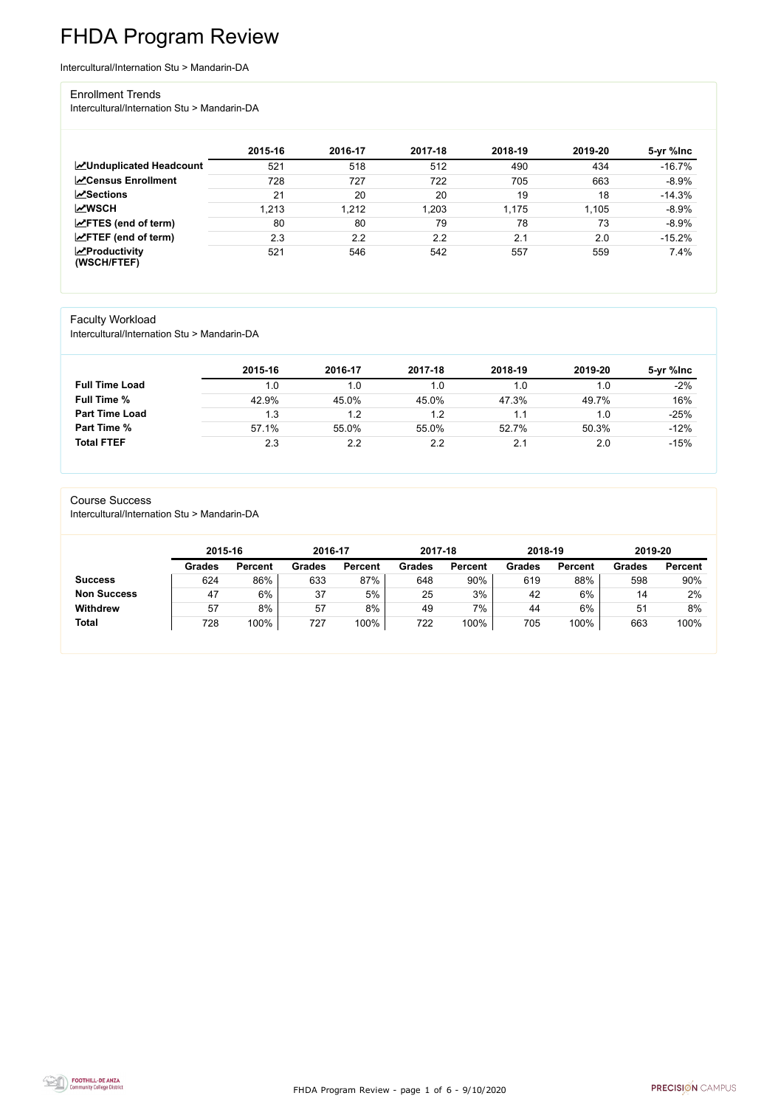FHDA Program Review - page 1 of 6 - 9/10/2020



# FHDA Program Review

Intercultural/Internation Stu > Mandarin-DA

#### Enrollment Trends

Intercultural/Internation Stu > Mandarin-DA

|                                    | 2015-16 | 2016-17 | 2017-18 | 2018-19 | 2019-20 | 5-yr %lnc |
|------------------------------------|---------|---------|---------|---------|---------|-----------|
| <b>ZUnduplicated Headcount</b>     | 521     | 518     | 512     | 490     | 434     | $-16.7%$  |
| <b>∠</b> Census Enrollment         | 728     | 727     | 722     | 705     | 663     | $-8.9%$   |
| $\sqrt{S}$ ections                 | 21      | 20      | 20      | 19      | 18      | $-14.3%$  |
| <b>MWSCH</b>                       | 1,213   | 1,212   | 1,203   | 1,175   | 1,105   | $-8.9%$   |
| $\angle$ FTES (end of term)        | 80      | 80      | 79      | 78      | 73      | $-8.9%$   |
| $\angle$ FTEF (end of term)        | 2.3     | 2.2     | 2.2     | 2.1     | 2.0     | $-15.2%$  |
| $\chi$ Productivity<br>(WSCH/FTEF) | 521     | 546     | 542     | 557     | 559     | 7.4%      |

## Faculty Workload

Intercultural/Internation Stu > Mandarin-DA

|                       | 2015-16 | 2016-17 | 2017-18 | 2018-19 | 2019-20 | 5-yr %lnc |
|-----------------------|---------|---------|---------|---------|---------|-----------|
| <b>Full Time Load</b> | 1.0     | 1.0     | 1.0     |         | 1.0     | $-2%$     |
| <b>Full Time %</b>    | 42.9%   | 45.0%   | 45.0%   | 47.3%   | 49.7%   | 16%       |
| <b>Part Time Load</b> | 1.3     | 1.2     | 1.2     |         | 1.0     | $-25%$    |
| <b>Part Time %</b>    | 57.1%   | 55.0%   | 55.0%   | 52.7%   | 50.3%   | $-12%$    |
| <b>Total FTEF</b>     | 2.3     | 2.2     | 2.2     | 2.1     | 2.0     | $-15%$    |

#### Course Success

Intercultural/Internation Stu > Mandarin-DA

| <b>Grades</b> | <b>Percent</b> |
|---------------|----------------|
|               |                |
| 598           | 90%            |
| 14            | 2%             |
| 51            | 8%             |
| 100%<br>663   | 100%           |
|               |                |

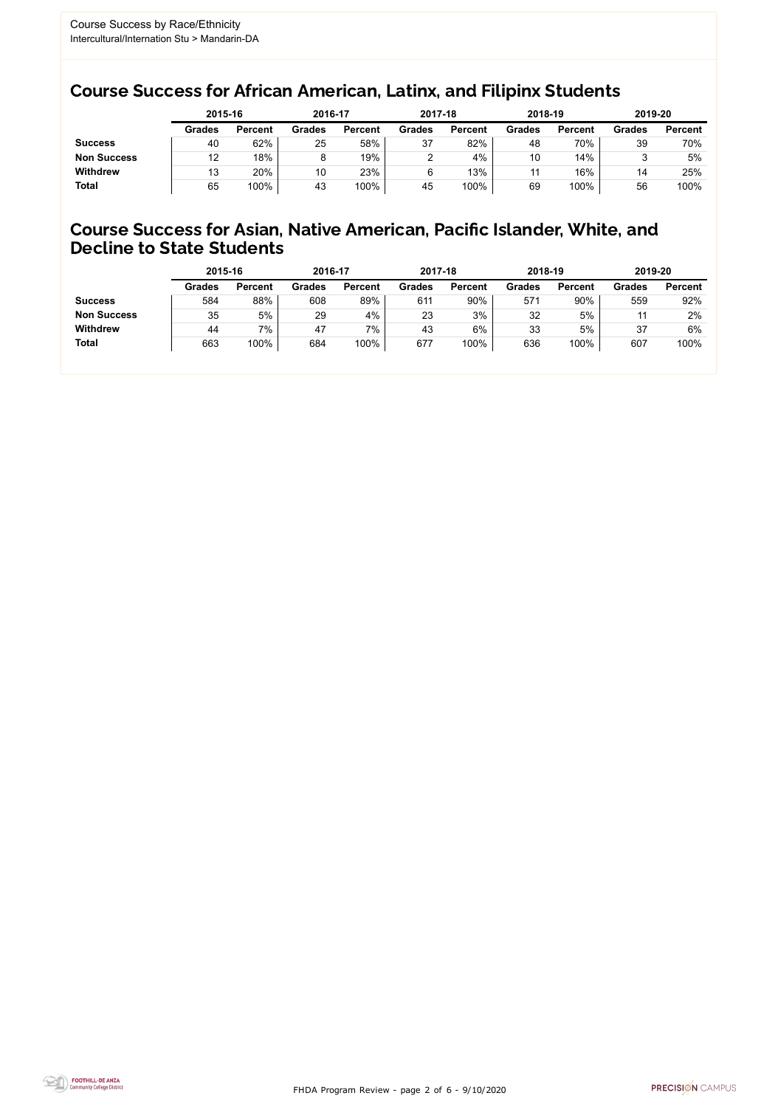FHDA Program Review - page 2 of 6 - 9/10/2020



## Course Success for African American, Latinx, and Filipinx Students

## Course Success for Asian, Native American, Pacific Islander, White, and Decline to State Students

|                    | 2015-16       |                | 2016-17       |                | 2017-18       |                | 2018-19       |                | 2019-20       |                |
|--------------------|---------------|----------------|---------------|----------------|---------------|----------------|---------------|----------------|---------------|----------------|
|                    | <b>Grades</b> | <b>Percent</b> | <b>Grades</b> | <b>Percent</b> | <b>Grades</b> | <b>Percent</b> | <b>Grades</b> | <b>Percent</b> | <b>Grades</b> | <b>Percent</b> |
| <b>Success</b>     | 40            | 62%            | 25            | 58%            | 37            | 82%            | 48            | 70%            | 39            | 70%            |
| <b>Non Success</b> | 12            | 18%            |               | 19%            |               | 4%             | 10            | 14%            |               | 5%             |
| <b>Withdrew</b>    | 13            | 20%            | 10            | 23%            |               | 13%            | 11            | 16%            | 14            | 25%            |
| <b>Total</b>       | 65            | 100%           | 43            | 100%           | 45            | 100%           | 69            | 100%           | 56            | 100%           |

|                    | 2015-16       |                | 2016-17       |                | 2017-18       |                | 2018-19       |                | 2019-20       |                |
|--------------------|---------------|----------------|---------------|----------------|---------------|----------------|---------------|----------------|---------------|----------------|
|                    | <b>Grades</b> | <b>Percent</b> | <b>Grades</b> | <b>Percent</b> | <b>Grades</b> | <b>Percent</b> | <b>Grades</b> | <b>Percent</b> | <b>Grades</b> | <b>Percent</b> |
| <b>Success</b>     | 584           | 88%            | 608           | 89%            | 611           | 90%            | 571           | 90%            | 559           | 92%            |
| <b>Non Success</b> | 35            | 5%             | 29            | 4%             | 23            | 3%             | 32            | 5%             |               | 2%             |
| <b>Withdrew</b>    | 44            | 7%             | 47            | 7%             | 43            | 6%             | 33            | 5%             | 37            | 6%             |
| <b>Total</b>       | 663           | 100%           | 684           | 100%           | 677           | 100%           | 636           | 100%           | 607           | 100%           |
|                    |               |                |               |                |               |                |               |                |               |                |

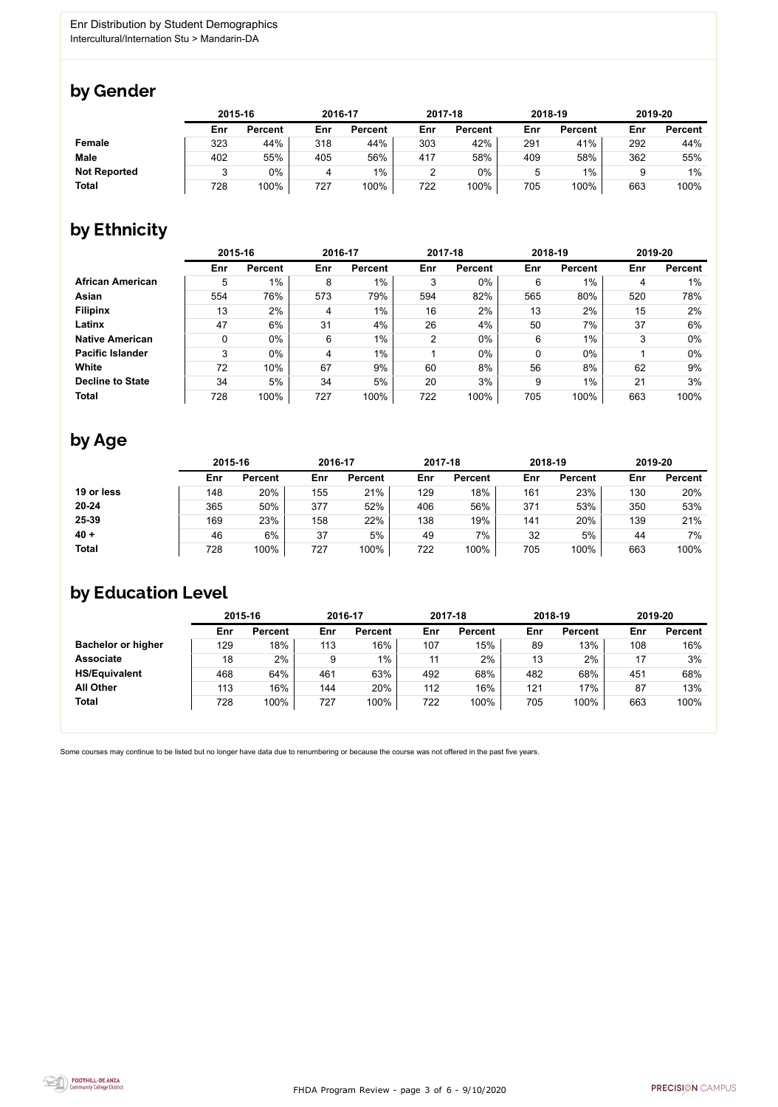

Some courses may continue to be listed but no longer have data due to renumbering or because the course was not offered in the past five years.



## by Gender

|                     | 2015-16 |                |     | 2016-17        |     | 2017-18        |     | 2018-19        |     | 2019-20        |  |
|---------------------|---------|----------------|-----|----------------|-----|----------------|-----|----------------|-----|----------------|--|
|                     | Enr     | <b>Percent</b> | Enr | <b>Percent</b> | Enr | <b>Percent</b> | Enr | <b>Percent</b> | Enr | <b>Percent</b> |  |
| <b>Female</b>       | 323     | 44%            | 318 | 44%            | 303 | 42%            | 291 | 41%            | 292 | 44%            |  |
| <b>Male</b>         | 402     | 55%            | 405 | 56%            | 417 | 58%            | 409 | 58%            | 362 | 55%            |  |
| <b>Not Reported</b> |         | 0%             |     | $1\%$          | റ   | 0%             | ა   | $1\%$          |     | $1\%$          |  |
| <b>Total</b>        | 728     | 100%           | 727 | 100%           | 722 | 100%           | 705 | 100%           | 663 | 100%           |  |

## by Ethnicity

|                         | 2015-16 |                |     | 2016-17        |     | 2017-18        |            | 2018-19        |     | 2019-20        |  |
|-------------------------|---------|----------------|-----|----------------|-----|----------------|------------|----------------|-----|----------------|--|
|                         | Enr     | <b>Percent</b> | Enr | <b>Percent</b> | Enr | <b>Percent</b> | <b>Enr</b> | <b>Percent</b> | Enr | <b>Percent</b> |  |
| <b>African American</b> | 5       | $1\%$          | 8   | $1\%$          | 3   | 0%             | 6          | 1%             | 4   | 1%             |  |
| Asian                   | 554     | 76%            | 573 | 79%            | 594 | 82%            | 565        | 80%            | 520 | 78%            |  |
| <b>Filipinx</b>         | 13      | 2%             | 4   | $1\%$          | 16  | 2%             | 13         | 2%             | 15  | 2%             |  |
| Latinx                  | 47      | 6%             | 31  | 4%             | 26  | 4%             | 50         | 7%             | 37  | 6%             |  |
| <b>Native American</b>  | 0       | $0\%$          | 6   | $1\%$          | 2   | $0\%$          | 6          | $1\%$          | 3   | $0\%$          |  |
| <b>Pacific Islander</b> | 3       | $0\%$          | 4   | $1\%$          |     | $0\%$          | 0          | $0\%$          |     | $0\%$          |  |
| White                   | 72      | 10%            | 67  | 9%             | 60  | 8%             | 56         | 8%             | 62  | 9%             |  |
| <b>Decline to State</b> | 34      | 5%             | 34  | 5%             | 20  | 3%             | 9          | $1\%$          | 21  | 3%             |  |
| <b>Total</b>            | 728     | 100%           | 727 | 100%           | 722 | 100%           | 705        | 100%           | 663 | 100%           |  |

## by Age

|              | 2015-16 |                |     | 2016-17        |     | 2017-18        |     | 2018-19        | 2019-20 |                |
|--------------|---------|----------------|-----|----------------|-----|----------------|-----|----------------|---------|----------------|
|              | Enr     | <b>Percent</b> | Enr | <b>Percent</b> | Enr | <b>Percent</b> | Enr | <b>Percent</b> | Enr     | <b>Percent</b> |
| 19 or less   | 148     | 20%            | 155 | 21%            | 129 | 18%            | 161 | 23%            | 130     | 20%            |
| $20 - 24$    | 365     | 50%            | 377 | 52%            | 406 | 56%            | 371 | 53%            | 350     | 53%            |
| 25-39        | 169     | 23%            | 158 | 22%            | 138 | 19%            | 141 | 20%            | 139     | 21%            |
| $40 +$       | 46      | 6%             | 37  | 5%             | 49  | 7%             | 32  | 5%             | 44      | 7%             |
| <b>Total</b> | 728     | 100%           | 727 | 100%           | 722 | 100%           | 705 | 100%           | 663     | 100%           |

## by Education Level

|                           | 2015-16 |                |     | 2016-17        |     | 2017-18        |     | 2018-19        | 2019-20 |                |
|---------------------------|---------|----------------|-----|----------------|-----|----------------|-----|----------------|---------|----------------|
|                           | Enr     | <b>Percent</b> | Enr | <b>Percent</b> | Enr | <b>Percent</b> | Enr | <b>Percent</b> | Enr     | <b>Percent</b> |
| <b>Bachelor or higher</b> | 129     | 18%            | 113 | 16%            | 107 | 15%            | 89  | 13%            | 108     | 16%            |
| <b>Associate</b>          | 18      | 2%             | 9   | $1\%$          | 11  | 2%             | 13  | 2%             |         | 3%             |
| <b>HS/Equivalent</b>      | 468     | 64%            | 461 | 63%            | 492 | 68%            | 482 | 68%            | 451     | 68%            |
| <b>All Other</b>          | 113     | 16%            | 144 | 20%            | 112 | 16%            | 121 | 17%            | 87      | 13%            |
| <b>Total</b>              | 728     | 100%           | 727 | 100%           | 722 | 100%           | 705 | 100%           | 663     | 100%           |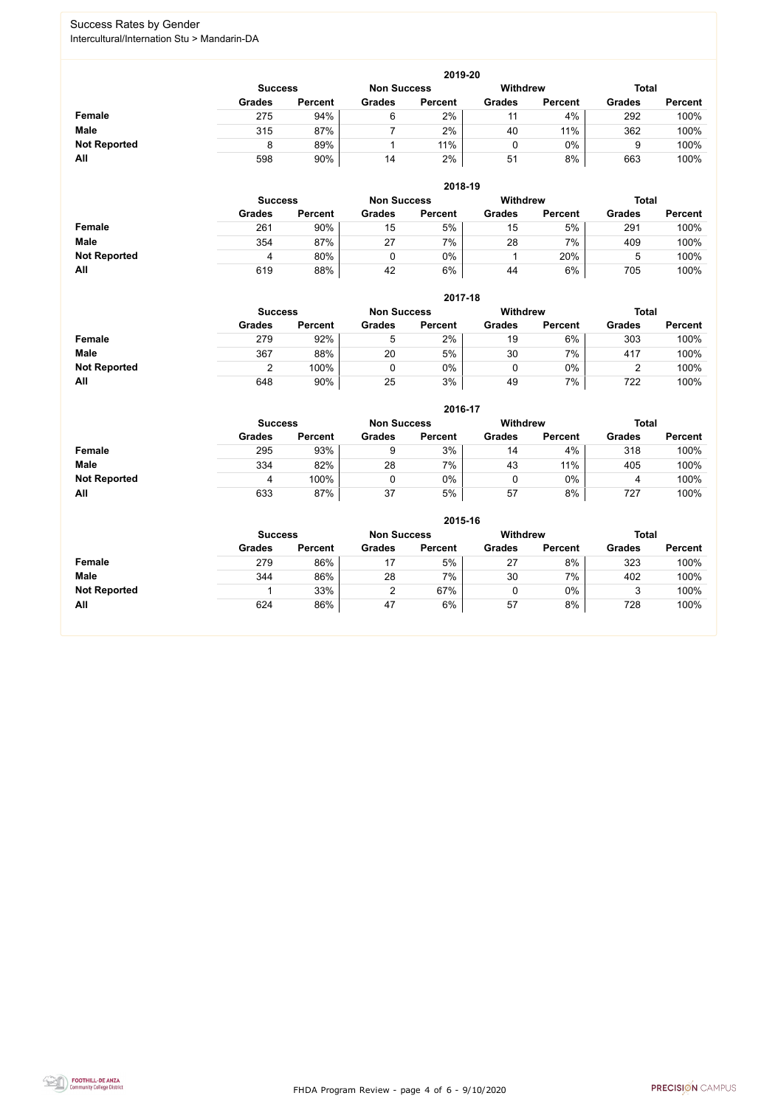FHDA Program Review - page 4 of 6 - 9/10/2020



## Success Rates by Gender Intercultural/Internation Stu > Mandarin-DA

|                     | 2019-20        |                 |               |                |               |                |               |                |  |  |  |
|---------------------|----------------|-----------------|---------------|----------------|---------------|----------------|---------------|----------------|--|--|--|
|                     | <b>Success</b> | <b>Withdrew</b> |               | <b>Total</b>   |               |                |               |                |  |  |  |
|                     | <b>Grades</b>  | <b>Percent</b>  | <b>Grades</b> | <b>Percent</b> | <b>Grades</b> | <b>Percent</b> | <b>Grades</b> | <b>Percent</b> |  |  |  |
| <b>Female</b>       | 275            | 94%             | 6             | 2%             | 11            | 4%             | 292           | 100%           |  |  |  |
| <b>Male</b>         | 315            | 87%             |               | 2%             | 40            | 11%            | 362           | 100%           |  |  |  |
| <b>Not Reported</b> |                | 89%             |               | 11%            |               | $0\%$          | g             | 100%           |  |  |  |
| All                 | 598            | 90%             | 14            | 2%             | 51            | 8%             | 663           | 100%           |  |  |  |

|                     |                | 2018-19        |                    |                |                 |                |               |                |  |  |  |  |
|---------------------|----------------|----------------|--------------------|----------------|-----------------|----------------|---------------|----------------|--|--|--|--|
|                     | <b>Success</b> |                | <b>Non Success</b> |                | <b>Withdrew</b> |                |               | <b>Total</b>   |  |  |  |  |
|                     | <b>Grades</b>  | <b>Percent</b> | <b>Grades</b>      | <b>Percent</b> | <b>Grades</b>   | <b>Percent</b> | <b>Grades</b> | <b>Percent</b> |  |  |  |  |
| <b>Female</b>       | 261            | 90%            | 15                 | 5%             | 15              | 5%             | 291           | 100%           |  |  |  |  |
| <b>Male</b>         | 354            | 87%            | 27                 | 7%             | 28              | $7\%$          | 409           | 100%           |  |  |  |  |
| <b>Not Reported</b> | 4              | 80%            |                    | 0%             |                 | 20%            | ა             | 100%           |  |  |  |  |
| All                 | 619            | 88%            | 42                 | 6%             | 44              | 6%             | 705           | 100%           |  |  |  |  |

|                     |                | 2017-18        |                    |                |                 |                |               |                |  |  |  |  |
|---------------------|----------------|----------------|--------------------|----------------|-----------------|----------------|---------------|----------------|--|--|--|--|
|                     | <b>Success</b> |                | <b>Non Success</b> |                | <b>Withdrew</b> |                | <b>Total</b>  |                |  |  |  |  |
|                     | <b>Grades</b>  | <b>Percent</b> | <b>Grades</b>      | <b>Percent</b> | <b>Grades</b>   | <b>Percent</b> | <b>Grades</b> | <b>Percent</b> |  |  |  |  |
| Female              | 279            | 92%            | 5                  | 2%             | 19              | 6%             | 303           | 100%           |  |  |  |  |
| <b>Male</b>         | 367            | 88%            | 20                 | 5%             | 30              | 7%             | 417           | 100%           |  |  |  |  |
| <b>Not Reported</b> |                | 100%           |                    | $0\%$          |                 | 0%             | ∼             | 100%           |  |  |  |  |
| All                 | 648            | 90%            | 25                 | 3%             | 49              | 7%             | 722           | 100%           |  |  |  |  |

|                     |               | 2016-17        |               |                |                 |                |               |                |  |
|---------------------|---------------|----------------|---------------|----------------|-----------------|----------------|---------------|----------------|--|
|                     |               | <b>Success</b> |               |                | <b>Withdrew</b> |                | <b>Total</b>  |                |  |
|                     | <b>Grades</b> | <b>Percent</b> | <b>Grades</b> | <b>Percent</b> | <b>Grades</b>   | <b>Percent</b> | <b>Grades</b> | <b>Percent</b> |  |
| Female              | 295           | 93%            |               | 3%             | 14              | 4%             | 318           | 100%           |  |
| <b>Male</b>         | 334           | 82%            | 28            | 7%             | 43              | 11%            | 405           | 100%           |  |
| <b>Not Reported</b> | 4             | 100%           |               | 0%             |                 | $0\%$          | 4             | 100%           |  |
| All                 | 633           | 87%            | 37            | 5%             | 57              | 8%             | 727           | 100%           |  |

|                     | 2015-16       |                                                         |               |                |               |                |               |                |  |
|---------------------|---------------|---------------------------------------------------------|---------------|----------------|---------------|----------------|---------------|----------------|--|
|                     |               | <b>Withdrew</b><br><b>Non Success</b><br><b>Success</b> |               |                |               |                |               | <b>Total</b>   |  |
|                     | <b>Grades</b> | <b>Percent</b>                                          | <b>Grades</b> | <b>Percent</b> | <b>Grades</b> | <b>Percent</b> | <b>Grades</b> | <b>Percent</b> |  |
| Female              | 279           | 86%                                                     | 17            | 5%             | 27            | 8%             | 323           | 100%           |  |
| <b>Male</b>         | 344           | 86%                                                     | 28            | 7%             | 30            | 7%             | 402           | 100%           |  |
| <b>Not Reported</b> |               | 33%                                                     | າ             | 67%            | υ             | $0\%$          |               | 100%           |  |
| All                 | 624           | 86%                                                     | 47            | 6%             | 57            | 8%             | 728           | 100%           |  |

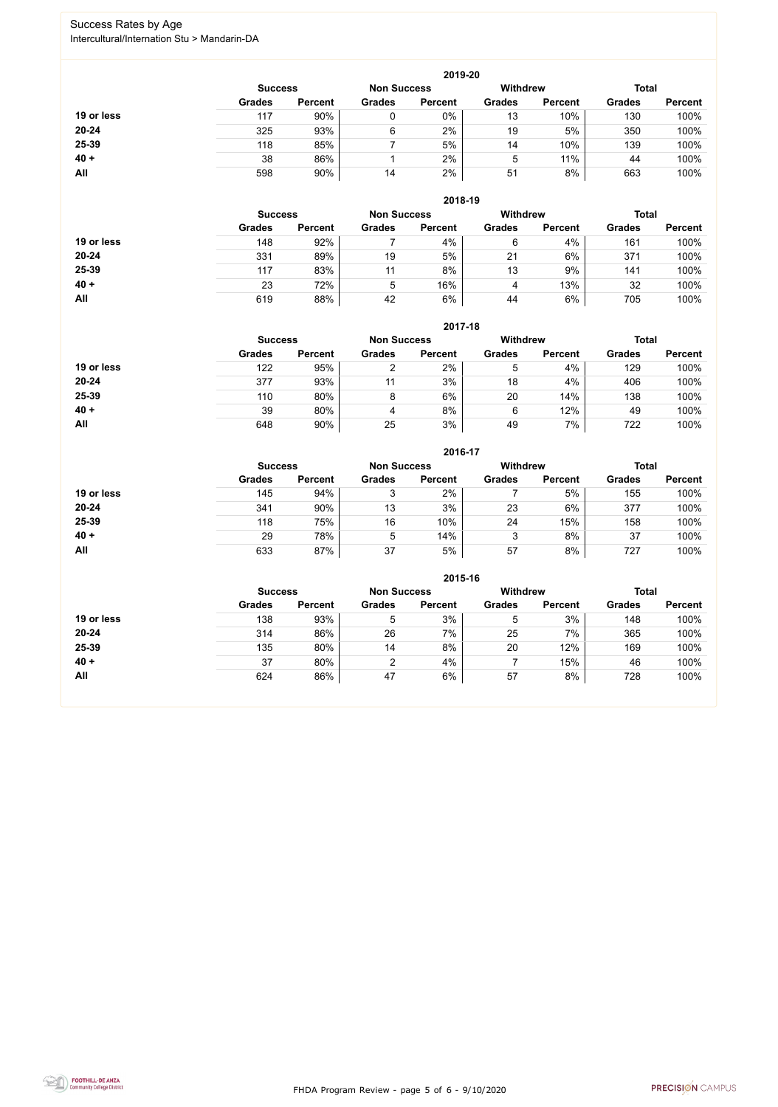FHDA Program Review - page 5 of 6 - 9/10/2020



## Success Rates by Age Intercultural/Internation Stu > Mandarin-DA

|            | 2019-20        |                    |               |                 |               |                |               |                |  |
|------------|----------------|--------------------|---------------|-----------------|---------------|----------------|---------------|----------------|--|
|            | <b>Success</b> | <b>Non Success</b> |               | <b>Withdrew</b> |               | <b>Total</b>   |               |                |  |
|            | <b>Grades</b>  | <b>Percent</b>     | <b>Grades</b> | <b>Percent</b>  | <b>Grades</b> | <b>Percent</b> | <b>Grades</b> | <b>Percent</b> |  |
| 19 or less | 117            | 90%                | 0             | 0%              | 13            | 10%            | 130           | 100%           |  |
| $20 - 24$  | 325            | 93%                | 6             | 2%              | 19            | 5%             | 350           | 100%           |  |
| 25-39      | 118            | 85%                |               | 5%              | 14            | 10%            | 139           | 100%           |  |
| $40 +$     | 38             | 86%                |               | 2%              | 5             | 11%            | 44            | 100%           |  |
| All        | 598            | 90%                | 14            | 2%              | 51            | 8%             | 663           | 100%           |  |

|            | 2018-19        |                    |               |                 |               |                |               |                |  |
|------------|----------------|--------------------|---------------|-----------------|---------------|----------------|---------------|----------------|--|
|            | <b>Success</b> | <b>Non Success</b> |               | <b>Withdrew</b> |               | <b>Total</b>   |               |                |  |
|            | <b>Grades</b>  | <b>Percent</b>     | <b>Grades</b> | <b>Percent</b>  | <b>Grades</b> | <b>Percent</b> | <b>Grades</b> | <b>Percent</b> |  |
| 19 or less | 148            | 92%                |               | 4%              | 6             | 4%             | 161           | 100%           |  |
| $20 - 24$  | 331            | 89%                | 19            | 5%              | 21            | 6%             | 371           | 100%           |  |
| 25-39      | 117            | 83%                | 11            | 8%              | 13            | 9%             | 141           | 100%           |  |
| $40 +$     | 23             | 72%                | 5             | 16%             | 4             | 13%            | 32            | 100%           |  |
| All        | 619            | 88%                | 42            | 6%              | 44            | 6%             | 705           | 100%           |  |

### **2017-18**



|            |                |                    |               | 2017-18         |               |                |               |                |
|------------|----------------|--------------------|---------------|-----------------|---------------|----------------|---------------|----------------|
|            | <b>Success</b> | <b>Non Success</b> |               | <b>Withdrew</b> |               | <b>Total</b>   |               |                |
|            | <b>Grades</b>  | <b>Percent</b>     | <b>Grades</b> | <b>Percent</b>  | <b>Grades</b> | <b>Percent</b> | <b>Grades</b> | <b>Percent</b> |
| 19 or less | 122            | 95%                |               | 2%              | 5             | 4%             | 129           | 100%           |
| $20 - 24$  | 377            | 93%                | 11            | 3%              | 18            | 4%             | 406           | 100%           |
| 25-39      | 110            | 80%                | 8             | 6%              | 20            | 14%            | 138           | 100%           |
| $40 +$     | 39             | 80%                | 4             | 8%              | 6             | 12%            | 49            | 100%           |
| All        | 648            | 90%                | 25            | 3%              | 49            | 7%             | 722           | 100%           |

|            | 2016-17        |                    |               |                 |               |                |               |                |  |
|------------|----------------|--------------------|---------------|-----------------|---------------|----------------|---------------|----------------|--|
|            | <b>Success</b> | <b>Non Success</b> |               | <b>Withdrew</b> |               | <b>Total</b>   |               |                |  |
|            | <b>Grades</b>  | <b>Percent</b>     | <b>Grades</b> | <b>Percent</b>  | <b>Grades</b> | <b>Percent</b> | <b>Grades</b> | <b>Percent</b> |  |
| 19 or less | 145            | 94%                | 3             | 2%              |               | 5%             | 155           | 100%           |  |
| $20 - 24$  | 341            | 90%                | 13            | 3%              | 23            | 6%             | 377           | 100%           |  |
| 25-39      | 118            | 75%                | 16            | 10%             | 24            | 15%            | 158           | 100%           |  |
| $40 +$     | 29             | 78%                | 5             | 14%             | 3             | 8%             | 37            | 100%           |  |
| All        | 633            | 87%                | 37            | 5%              | 57            | 8%             | 727           | 100%           |  |

|            | 2015-16                              |                |               |                |                 |                |               |                |  |
|------------|--------------------------------------|----------------|---------------|----------------|-----------------|----------------|---------------|----------------|--|
|            | <b>Non Success</b><br><b>Success</b> |                |               |                | <b>Withdrew</b> |                | <b>Total</b>  |                |  |
|            | <b>Grades</b>                        | <b>Percent</b> | <b>Grades</b> | <b>Percent</b> | <b>Grades</b>   | <b>Percent</b> | <b>Grades</b> | <b>Percent</b> |  |
| 19 or less | 138                                  | 93%            | 5             | 3%             | 5               | 3%             | 148           | 100%           |  |
| $20 - 24$  | 314                                  | 86%            | 26            | 7%             | 25              | 7%             | 365           | 100%           |  |
| 25-39      | 135                                  | 80%            | 14            | 8%             | 20              | 12%            | 169           | 100%           |  |
| $40 +$     | 37                                   | 80%            | າ             | 4%             |                 | 15%            | 46            | 100%           |  |
| All        | 624                                  | 86%            | 47            | 6%             | 57              | 8%             | 728           | 100%           |  |